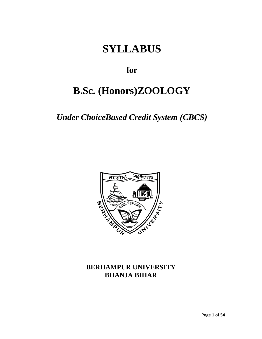# **SYLLABUS**

# **for**

# **B.Sc. (Honors)ZOOLOGY**

*Under ChoiceBased Credit System (CBCS)*



# **BERHAMPUR UNIVERSITY BHANJA BIHAR**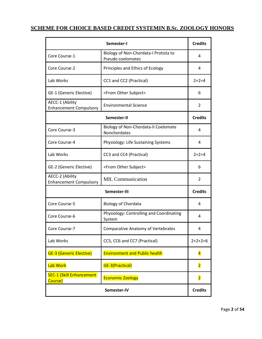## **SCHEME FOR CHOICE BASED CREDIT SYSTEMIN B.Sc. ZOOLOGY HONORS**

| Semester-I                                       |                                                            | <b>Credits</b>          |
|--------------------------------------------------|------------------------------------------------------------|-------------------------|
| Core Course-1                                    | Biology of Non-Chordata-I Protista to<br>Pseudo coelomates | 4                       |
| Core Course-2                                    | Principles and Ethics of Ecology                           | 4                       |
| Lab Works                                        | CC1 and CC2 (Practical)                                    | $2 + 2 = 4$             |
| GE-1 (Generic Elective)                          | <from other="" subject=""></from>                          | 6                       |
| AECC-1 (Ability<br><b>Enhancement Compulsory</b> | <b>Environmental Science</b>                               | $\overline{2}$          |
| Semester-II                                      |                                                            | <b>Credits</b>          |
| Core Course-3                                    | Biology of Non-Chordata-II Coelomate<br>Nonchordates       | 4                       |
| Core Course-4                                    | Physiology: Life Sustaining Systems                        | 4                       |
| Lab Works                                        | CC3 and CC4 (Practical)                                    | $2+2=4$                 |
| GE-2 (Generic Elective)                          | <from other="" subject=""></from>                          | 6                       |
| AECC-2 (Ability<br><b>Enhancement Compulsory</b> | <b>MIL Communication</b>                                   | 2                       |
| Semester-III                                     |                                                            | <b>Credits</b>          |
| Core Course-5                                    | <b>Biology of Chordata</b>                                 | 4                       |
| Core Course-6                                    | Physiology: Controlling and Coordinating<br>System         | 4                       |
| Core Course-7                                    | <b>Comparative Anatomy of Vertebrates</b>                  | 4                       |
| Lab Works                                        | CC5, CC6 and CC7 (Practical)                               | $2+2+2=6$               |
| <b>GE-3 (Generic Elective)</b>                   | <b>Environment and Public health</b>                       | $\overline{\mathbf{4}}$ |
| Lab Work                                         | GE-3(Practical)                                            | $\overline{\mathbf{2}}$ |
| <b>SEC-1 (Skill Enhancement</b><br>Course)       | <b>Economic Zoology</b>                                    | $\overline{\mathbf{2}}$ |
| Semester-IV                                      |                                                            | <b>Credits</b>          |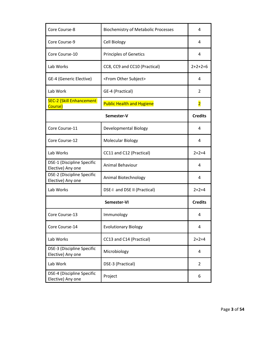| Core Course-8                                   | <b>Biochemistry of Metabolic Processes</b> | 4                       |
|-------------------------------------------------|--------------------------------------------|-------------------------|
| Core Course-9                                   | Cell Biology                               | 4                       |
| Core Course-10                                  | <b>Principles of Genetics</b>              | 4                       |
| Lab Works                                       | CC8, CC9 and CC10 (Practical)              | $2+2+2=6$               |
| GE-4 (Generic Elective)                         | <from other="" subject=""></from>          | 4                       |
| Lab Work                                        | GE-4 (Practical)                           | 2                       |
| <b>SEC-2 (Skill Enhancement</b><br>Course)      | <b>Public Health and Hygiene</b>           | $\overline{\mathbf{2}}$ |
| Semester-V                                      |                                            | <b>Credits</b>          |
| Core Course-11                                  | Developmental Biology                      | 4                       |
| Core Course-12                                  | Molecular Biology                          | 4                       |
| Lab Works                                       | CC11 and C12 (Practical)                   | $2+2=4$                 |
| DSE-1 (Discipline Specific<br>Elective) Any one | Animal Behaviour                           | 4                       |
| DSE-2 (Discipline Specific<br>Elective) Any one | Animal Biotechnology                       | 4                       |
| Lab Works                                       | DSE-I and DSE II (Practical)               | $2+2=4$                 |
| Semester-VI                                     |                                            | <b>Credits</b>          |
| Core Course-13                                  | Immunology                                 | 4                       |
| Core Course-14                                  | <b>Evolutionary Biology</b>                | 4                       |
| Lab Works                                       | CC13 and C14 (Practical)                   | $2+2=4$                 |
| DSE-3 (Discipline Specific<br>Elective) Any one | Microbiology                               | 4                       |
| Lab Work                                        | DSE-3 (Practical)                          | 2                       |
| DSE-4 (Discipline Specific<br>Elective) Any one | Project                                    | 6                       |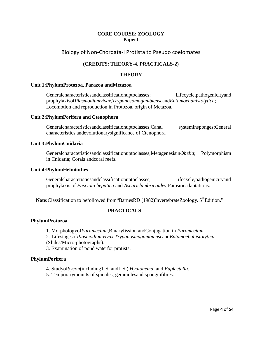## **CORE COURSE: ZOOLOGY PaperI**

## Biology of Non-Chordata-I Protista to Pseudo coelomates

## **(CREDITS: THEORY-4, PRACTICALS-2)**

## **THEORY**

#### **Unit 1:PhylumProtozoa, Parazoa andMetazoa**

Generalcharacteristicsandclassificationuptoclasses; Lifecycle,pathogenicityand prophylaxisof*Plasmodiumvivax,Trypanosomagambiense*and*Entamoebahistolytica;*  Locomotion and reproduction in Protozoa, origin of Metazoa.

#### **Unit 2:PhylumPorifera and Ctenophora**

| Generalcharacteristicsandclassificationuptoclasses; Canal   | systeminsponges; General |
|-------------------------------------------------------------|--------------------------|
| characteristics and evolutionary significance of Ctenophora |                          |

#### **Unit 3:PhylumCnidaria**

Generalcharacteristicsandclassificationuptoclasses;Metagenesisin*Obelia*; Polymorphism in Cnidaria; Corals andcoral reefs.

#### **Unit 4:PhylumHelminthes**

Generalcharacteristicsandclassificationuptoclasses; Lifecycle,pathogenicityand prophylaxis of *Fasciola hepatica* and *Ascarislumbricoides;*Parasiticadaptations.

Note:Classification to befollowed from "BarnesRD (1982)InvertebrateZoology. 5<sup>th</sup>Edition."

## **PRACTICALS**

#### **PhylumProtozoa**

1. Morphologyof*Paramecium,*Binaryfission andConjugation in *Paramecium.*

2. Lifestagesof*Plasmodiumvivax,Trypanosmagambiense*and*Entamoebahistolytica* (Slides/Micro-photographs).

3. Examination of pond waterfor protists.

#### **PhylumPorifera**

- 4. Studyof*Sycon*(includingT.S. andL.S.),*Hyalonema,* and *Euplectella.*
- 5. Temporarymounts of spicules, gemmulesand sponginfibres.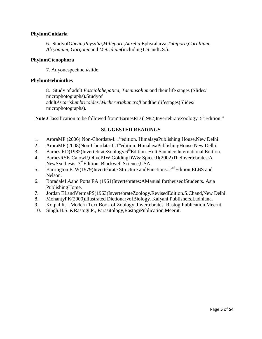## **PhylumCnidaria**

6. Studyof*Obelia,Physalia,Millepora,Aurelia,*Ephyralarva*,Tubipora,Corallium, Alcyonium, Gorgonia*and *Metridium*(includingT.S.andL.S.).

### **PhylumCtenophora**

7. Anyonespecimen/slide.

#### **PhylumHelminthes**

8. Study of adult *Fasciolahepatica*, *Taeniasolium*and their life stages (Slides/ microphotographs).Studyof adult*Ascarislumbricoides,Wuchereriabancrofti*andtheirlifestages(Slides/ microphotographs).

**Note:**Classification to be followed from BarnesRD (1982)InvertebrateZoology. 5<sup>th</sup>Edition."

- 1. AroraMP (2006) Non-Chordata-I. 1<sup>st</sup>edition. HimalayaPublishing House, New Delhi.
- 2. AroraMP (2008)Non-Chordata-II.1<sup>st</sup>edition. HimalayaPublishingHouse,New Delhi.
- 3. Barnes RD(1982)InvertebrateZoology.6<sup>th</sup>Edition. Holt SaundersInternational Edition.
- 4. BarnesRSK,CalowP,OlivePJW,GoldingDW& SpicerJI(2002)TheInvertebrates:A NewSynthesis. 3<sup>rd</sup>Edition. Blackwell Science, USA.
- 5. Barrington EJW(1979)Invertebrate Structure and Functions.  $2<sup>nd</sup>$  Edition. ELBS and Nelson.
- 6. BoradaleLAand Potts EA (1961)Invertebrates:AManual fortheuseofStudents. Asia PublishingHome.
- 7. [Jordan E](https://www.schandpublishing.com/author-details/-el-jordan/413)Lan[dVermaP](https://www.schandpublishing.com/author-details/-p-s-verma/131)S(1963)InvertebrateZoology.RevisedEdition.S.Chand,New Delhi.
- 8. MohantyPK(2000)Illustrated DictionaryofBiology. Kalyani Publishers,Ludhiana.
- 9. Kotpal R.L Modern Text Book of Zoology, Invertebrates. RastogiPublication,Meerut.
- 10. Singh.H.S. &Rastogi.P., Parasitology,RastogiPublication,Meerut.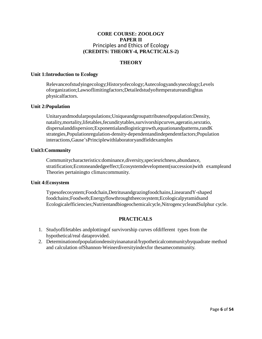## **CORE COURSE: ZOOLOGY PAPER II** Principles and Ethics of Ecology **(CREDITS: THEORY-4, PRACTICALS-2)**

## **THEORY**

#### **Unit 1:Introduction to Ecology**

Relevanceofstudyingecology;Historyofecology;Autecologyandsynecology;Levels oforganization;Lawsoflimitingfactors;Detailedstudyoftemperatureandlightas physicalfactors.

#### **Unit 2:Population**

Unitaryandmodularpopulations;Uniqueandgroupattributesofpopulation:Density, natality,mortality,lifetables,fecunditytables,survivorshipcurves,ageratio,sexratio, dispersalanddispersion;Exponentialandlogisticgrowth,equationandpatterns,randK strategies,Populationregulation-density-dependentandindependentfactors;Population interactions,Gause'sPrinciplewithlaboratoryandfieldexamples

#### **Unit3:Community**

Communitycharacteristics:dominance,diversity,speciesrichness,abundance, stratification;Ecotoneandedgeeffect;Ecosystemdevelopment(succession)with exampleand Theories pertainingto climaxcommunity.

#### **Unit 4:Ecosystem**

Typesofecosystem;Foodchain,Detritusandgrazingfoodchains,LinearandY-shaped foodchains;Foodweb;Energyflowthroughtheecosystem;Ecologicalpyramidsand Ecologicalefficiencies;Nutrientandbiogeochemicalcycle,NitrogencycleandSulphur cycle.

- 1. Studyoflifetables andplottingof survivorship curves ofdifferent types from the hypothetical/real dataprovided.
- 2. Determinationofpopulationdensityinanatural/hypotheticalcommunitybyquadrate method and calculation ofShannon-Weinerdiversityindexfor thesamecommunity.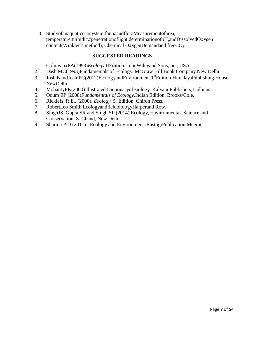3. Studyofanaquaticecosystem:faunaandfloraMeasurementofarea, temperature,turbidity/penetrationoflight,determinationofpH,andDissolvedOxygen content(Winkler's method), Chemical OxygenDemandand freeCO2.

- 1. ColinvauxPA(1993)*Ecology*.IIEdition. JohnWileyand Sons,Inc., USA.
- 2. Dash MC(1993)Fundamentals of Ecology. McGraw Hill Book Company,New Delhi.
- 3. JoshiNandJoshiPC(2012)EcologyandEnvironment.1st Edition.HimalayaPublishing House, NewDelhi.
- 4. MohantyPK(2000)Illustrated DictionaryofBiology. Kalyani Publishers,Ludhiana.
- 5. Odum EP (2008)*Fundamentals of Ecology*.Indian Edition. Brooks/Cole.
- 6. Ricklefs, R.E., (2000). *Ecology*. 5thEdition. Chiron Press.
- 7. RobertLeo Smith EcologyandfieldbiologyHarperand Row.
- 8. [SinghJ](https://www.schandpublishing.com/author-details/js-singh/903)S, [Gupta S](https://www.schandpublishing.com/author-details/s-r-gupta/905)R and [Singh S](https://www.schandpublishing.com/author-details/-s-p-singh/754)P (2014) Ecology, Environmental Science and Conservation. S. Chand, New Delhi.
- 9. Sharma P.D (2011) : Ecology and Environment. RastogiPublication,Meerut.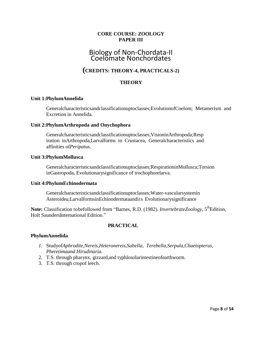## **CORE COURSE: ZOOLOGY PAPER III**

# Biology of Non-Chordata-II Coelomate Nonchordates

## **(CREDITS: THEORY-4, PRACTICALS-2)**

## **THEORY**

#### **Unit 1:PhylumAnnelida**

Generalcharacteristicsandclassificationuptoclasses;EvolutionofCoelom; Metamerism and Excretion in Annelida.

#### **Unit 2:PhylumArthropoda and Onychophora**

Generalcharacteristicsandclassificationuptoclasses;VisioninArthropoda;Resp iration inArthropoda,Larvalforms in Crustacea, Generalcharacteristics and affinities of*Peripatus.*

#### **Unit 3:PhylumMollusca**

Generalcharacteristicsandclassificationuptoclasses;RespirationinMollusca;Torsion inGastropoda, Evolutionarysignificance of trochophorelarva.

#### **Unit 4:PhylumEchinodermata**

Generalcharacteristicsandclassificationuptoclasses;Water-vascularsystemin Asteroidea;LarvalformsinEchinodermataandits Evolutionarysignificance

Note: Classification tobefollowed from "Barnes, R.D. (1982). *InvertebrateZoology*, 5<sup>th</sup>Edition, Holt SaundersInternational Edition."

## **PRACTICAL**

#### **PhylumAnnelida**

- *1.* Studyof*Aphrodite,Nereis,Heteronereis,Sabella, Terebella,Serpula,Chaetopterus, Pheretimaand Hirudinaria.*
- 2. T.S. through pharynx, gizzard,and typhlosolarintestineofearthworm.
- 3. T.S. through cropof leech.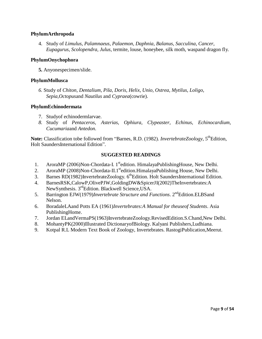## **PhylumArthropoda**

4. Study of *Limulus*, *Palamnaeus, Palaemon, Daphnia*, *Balanus*, *Sacculina*, *Cancer*, *Eupagurus*, *Scolopendra*, *Julus*, termite, louse, honeybee, silk moth, waspand dragon fly.

## **PhylumOnychophora**

**5.** Anyonespecimen/slide.

## **PhylumMollusca**

*6.* Study of *Chiton, Dentalium, Pila, Doris, Helix, Unio, Ostrea, Mytilus, Loligo, Sepia,Octopus*and *Nautilus* and *Cypraea*(cowrie).

## **PhylumEchinodermata**

- 7. Studyof echinodermlarvae.
- *8.* Study of *Pentaceros, Asterias, Ophiura, Clypeaster, Echinus, Echinocardium, Cucumaria*and *Antedon.*

Note: Classification tobe followed from "Barnes, R.D. (1982). *InvertebrateZoology*, 5<sup>th</sup>Edition, Holt SaundersInternational Edition".

- 1. AroraMP (2006)Non-Chordata-I. 1<sup>st</sup>edition. HimalayaPublishingHouse, New Delhi.
- 2. AroraMP (2008)Non-Chordata-II.1<sup>st</sup>edition.HimalayaPublishing House, New Delhi.
- 3. Barnes RD(1982)InvertebrateZoology.  $6<sup>th</sup>$ Edition. Holt SaundersInternational Edition.
- 4. BarnesRSK,CalowP,OlivePJW,GoldingDW&SpicerJI(2002)TheInvertebrates:A NewSynthesis. 3<sup>rd</sup>Edition. Blackwell Science, USA.
- 5. Barrington EJW(1979)*Invertebrate Structure and Functions*. 2<sup>nd</sup>Edition.ELBSand Nelson.
- 6. BoradaleLAand Potts EA (1961)*Invertebrates:A Manual for theuseof Students*. Asia PublishingHome.
- 7. [Jordan E](https://www.schandpublishing.com/author-details/-el-jordan/413)Lan[dVermaP](https://www.schandpublishing.com/author-details/-p-s-verma/131)S(1963)InvertebrateZoology.RevisedEdition.S.Chand,New Delhi.
- 8. MohantyPK(2000)Illustrated DictionaryofBiology. Kalyani Publishers,Ludhiana.
- 9. Kotpal R.L Modern Text Book of Zoology, Invertebrates. RastogiPublication,Meerut.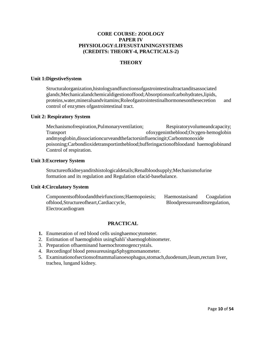## **CORE COURSE: ZOOLOGY PAPER IV PHYSIOLOGY:LIFESUSTAININGSYSTEMS (CREDITS: THEORY-4, PRACTICALS-2)**

## **THEORY**

#### **Unit 1:DigestiveSystem**

Structuralorganization,histologyandfunctionsofgastrointestinaltractanditsassociated glands;Mechanicalandchemicaldigestionoffood;Absorptionsofcarbohydrates,lipids, proteins,water,mineralsandvitamins;Roleofgastrointestinalhormonesonthesecretion and control of enzymes ofgastrointestinal tract.

#### **Unit 2: Respiratory System**

Mechanismofrespiration,Pulmonaryventilation; Respiratoryvolumeandcapacity; Transport ofoxygenintheblood;Oxygen-hemoglobin andmyoglobin,dissociationcurveandthefactorsinfluencingit;Carbonmonoxide poisoning;Carbondioxidetransportintheblood;bufferingactionofbloodand haemoglobinand Control of respiration.

#### **Unit 3:Excretory System**

Structureofkidneyanditshistologicaldetails;Renalbloodsupply;Mechanismofurine formation and its regulation and Regulation ofacid-basebalance.

#### **Unit 4:Circulatory System**

Componentsofbloodandtheirfunctions;Haemopoiesis; Haemostasisand Coagulation ofblood,Structureofheart,Cardiaccycle, Bloodpressureanditsregulation, Electrocardiogram

- **1.** Enumeration of red blood cells usinghaemocytometer.
- 2. Estimation of haemoglobin usingSahli'shaemoglobinometer.
- 3. Preparation ofhaeminand haemochromogencrystals.
- 4. Recordingof blood pressureusingaSphygmomanometer.
- 5. Examinationofsectionsofmammalianoesophagus,stomach,duodenum,ileum,rectum liver, trachea, lungand kidney.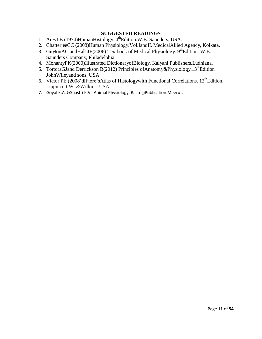- 1. AreyLB (1974)HumanHistology. 4<sup>th</sup>Edition.W.B. Saunders, USA.
- 2. ChatterjeeCC (2008)Human Physiology.Vol.IandII. MedicalAllied Agency, Kolkata.
- 3. GuytonAC and Hall JE(2006) Textbook of Medical Physiology.  $9^{\text{th}}$ Edition. W.B. Saunders Company, Philadelphia.
- 4. MohantyPK(2000)Illustrated DictionaryofBiology. Kalyani Publishers,Ludhiana.
- 5. TortoraGJand Derrickson B(2012) Principles ofAnatomy&Physiology.13<sup>th</sup>Edition JohnWileyand sons, USA.
- 6. Victor PE (2008)diFiore's Atlas of Histology with Functional Correlations.  $12^{th}$ Edition. Lippincott W. &Wilkins, USA.
- 7. Goyal K.A. &Shastri K.V. Animal Physiology, RastogiPublication.Meerut.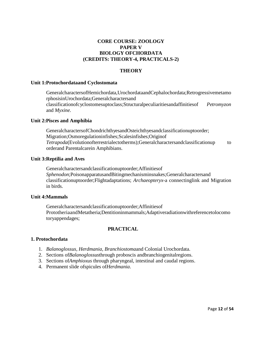## **CORE COURSE: ZOOLOGY PAPER V BIOLOGY OFCHORDATA (CREDITS: THEORY-4, PRACTICALS-2)**

## **THEORY**

#### **Unit 1:Protochordataand Cyclostomata**

GeneralcharactersofHemichordata,UrochordataandCephalochordata;Retrogressivemetamo rphosisinUrochordata;Generalcharactersand classificationofcyclostomesuptoclass;Structuralpeculiaritiesandaffinitiesof *Petromyzon*  and *Myxine.*

#### **Unit 2:Pisces and Amphibia**

GeneralcharactersofChondrichthyesandOsteichthyesandclassificationuptoorder; Migration;Osmoregulationinfishes;Scalesinfishes;Originof *Tetrapoda*(Evolutionofterrestrialectotherms);Generalcharactersandclassificationup to orderand Parentalcarein Amphibians.

#### **Unit 3:Reptilia and Aves**

Generalcharactersandclassificationuptoorder;Affinitiesof *Sphenodon*;PoisonapparatusandBitingmechanisminsnakes;Generalcharactersand classificationuptoorder;Flightadaptations; *Archaeopteryx*-a connectinglink and Migration in birds.

#### **Unit 4:Mammals**

Generalcharactersandclassificationuptoorder;Affinitiesof PrototheriaandMetatheria;Dentitioninmammals;Adaptiveradiationwithreferencetolocomo toryappendages;

#### **PRACTICAL**

#### **1. Protochordata**

- 1. *Balanoglossus, Herdmania, Branchiostoma*and Colonial Urochordata.
- 2. Sections of*Balanoglossus*through proboscis andbranchiogenitalregions.
- 3. Sections of*Amphioxus* through pharyngeal, intestinal and caudal regions.
- 4. Permanent slide ofspicules of*Herdmania*.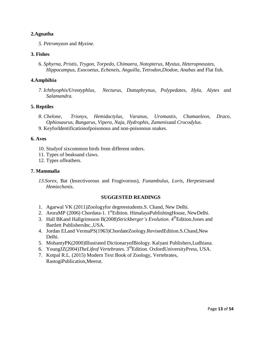## **2.Agnatha**

*5. Petromyzon* and *Myxine.*

## **3. Fishes**

6. *Sphyrna, Pristis, Trygon, Torpedo, Chimaera, Notopterus, Mystus, Heteropneustes, Hippocampus, Exocoetus, Echeneis, Anguilla, Tetrodon,Diodon, Anabas* and Flat fish.

#### **4.Amphibia**

*7. Ichthyophis/Ureotyphlus, Necturus, Duttaphrynus, Polypedates, Hyla, Alytes* and *Salamandra.*

#### **5. Reptiles**

- *8. Chelone, Trionyx, Hemidactylus, Varanus, Uromastix, Chamaeleon, Draco, Ophiosaurus, Bungarus, Vipera, Naja, Hydrophis, Zamenis*and *Crocodylus.*
- 9. KeyforIdentificationofpoisonous and non-poisonous snakes.

## **6. Aves**

- 10. Studyof sixcommon birds from different orders.
- 11. Types of beaksand claws.
- 12. Types offeathers.

#### **7. Mammalia**

*13.Sorex*, Bat (Insectivorous and Frugivorous), *Funambulus, Loris, Herpestes*and *Hemiechenis.*

- 1. Agarwal VK (2011)Zoologyfor degreestudents.S. Chand, New Delhi.
- 2. AroraMP (2006) Chordata-1. 1<sup>st</sup>Edition. HimalayaPublishingHouse, NewDelhi.
- 3. Hall BKand Hallgrimsson B(2008)*Strickberger's Evolution*. 4<sup>th</sup>Edition.Jones and Bartlett PublishersInc.,USA.
- 4. [Jordan E](https://www.schandpublishing.com/author-details/-el-jordan/413)Land [VermaP](https://www.schandpublishing.com/author-details/-p-s-verma/131)S(1963)ChordateZoology.RevisedEdition.S.Chand,New Delhi.
- 5. MohantyPK(2000)Illustrated DictionaryofBiology. Kalyani Publishers,Ludhiana.
- 6. YoungJZ(2004)*TheLifeof Vertebrates*. 3rd Edition. OxfordUniversityPress, USA.
- 7. Kotpal R.L. (2015) Modern Text Book of Zoology, Vertebrates, RastogiPublication,Meerut.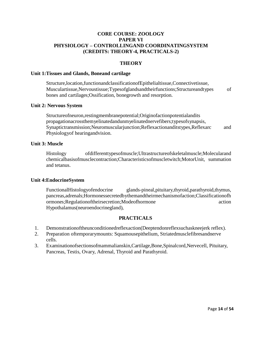## **CORE COURSE: ZOOLOGY PAPER VI PHYSIOLOGY – CONTROLLINGAND COORDINATINGSYSTEM (CREDITS: THEORY-4, PRACTICALS-2)**

#### **THEORY**

#### **Unit 1:Tissues and Glands, Boneand cartilage**

Structure,location,functionandclassificationofEpithelialtissue,Connectivetissue, Musculartissue,Nervoustissue;Typesofglandsandtheirfunctions;Structureandtypes of bones and cartilages;Ossification, bonegrowth and resorption.

#### **Unit 2: Nervous System**

Structureofneuron,restingmembranepotential;Originofactionpotentialandits propagationacrossthemyelinatedandunmyelinatednervefibers;typesofsynapsis, Synaptictransmission;Neuromuscularjunction;Reflexactionanditstypes,Reflexarc and Physiologyof hearingandvision.

#### **Unit 3: Muscle**

Histology ofdifferenttypesofmuscle;Ultrastructureofskeletalmuscle;Molecularand chemicalbasisofmusclecontraction;Characteristicsofmuscletwitch;MotorUnit, summation and tetanus.

#### **Unit 4:EndocrineSystem**

FunctionalHistologyofendocrine glands-pineal,pituitary,thyroid,parathyroid,thymus, pancreas,adrenals;Hormonessecretedbythemandtheirmechanismofaction;Classificationofh ormones;Regulationoftheirsecretion;Modeofhormone action Hypothalamus(neuroendocrinegland),

- 1. Demonstrationoftheunconditionedreflexaction(Deeptendonreflexsuchaskneejerk reflex).
- 2. Preparation oftemporarymounts: Squamousepithelium, Striatedmusclefibresandnerve cells.
- 3. Examinationofsectionsofmammalianskin,Cartilage,Bone,Spinalcord,Nervecell, Pituitary, Pancreas, Testis, Ovary, Adrenal, Thyroid and Parathyroid.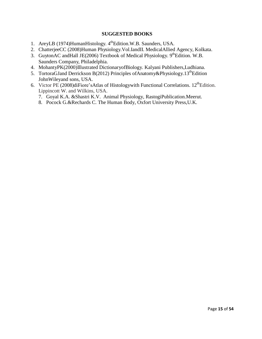## **SUGGESTED BOOKS**

- 1. AreyLB (1974)HumanHistology. 4<sup>th</sup>Edition.W.B. Saunders, USA.
- 2. ChatterjeeCC (2008)Human Physiology.Vol.IandII. MedicalAllied Agency, Kolkata.
- 3. GuytonAC and Hall JE(2006) Textbook of Medical Physiology.  $9^{\text{th}}$ Edition. W.B. Saunders Company, Philadelphia.
- 4. MohantyPK(2000)Illustrated DictionaryofBiology. Kalyani Publishers, Ludhiana.
- 5. TortoraGJand Derrickson B(2012) Principles of Anatomy & Physiology.13<sup>th</sup>Edition JohnWileyand sons, USA.
- 6. Victor PE (2008)diFiore's Atlas of Histology with Functional Correlations.  $12^{th}$ Edition. Lippincott W. and Wilkins, USA.
	- 7. Goyal K.A. &Shastri K.V. Animal Physiology, RastogiPublication.Meerut.
	- 8. Pocock G.&Rechards C. The Human Body, Oxfort University Press,U.K.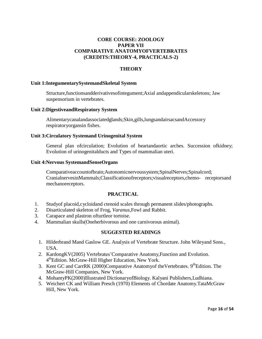## **CORE COURSE: ZOOLOGY PAPER VII COMPARATIVE ANATOMYOFVERTEBRATES (CREDITS:THEORY-4, PRACTICALS-2)**

## **THEORY**

#### **Unit 1:IntegumentarySystemandSkeletal System**

Structure,functionsandderivativesofintegument;Axial andappendicularskeletons; Jaw suspensorium in vertebrates.

#### **Unit 2:DigestiveandRespiratory System**

Alimentarycanalandassociatedglands;Skin,gills,lungsandairsacsandAccessory respiratoryorgansin fishes.

#### **Unit 3:Circulatory Systemand Urinogenital System**

General plan ofcirculation; Evolution of heartandaortic arches. Succession ofkidney; Evolution of urinogenitalducts and Types of mammalian uteri.

#### **Unit 4:Nervous SystemandSenseOrgans**

Comparativeaccountofbrain;Autonomicnervoussystem;SpinalNerves;Spinalcord; CranialnervesinMammals;Classificationofreceptors;visualreceptors,chemo- receptorsand mechanoreceptors.

## **PRACTICAL**

- 1. Studyof placoid,cycloidand ctenoid scales through permanent slides/photographs.
- 2. Disarticulated skeleton of Frog, *Varanus,*Fowl and Rabbit.
- 3. Carapace and plastron ofturtleor tortoise.
- 4. Mammalian skulls(Oneherbivorous and one carnivorous animal).

- 1. Hilderbrand Mand Gaslow GE. Analysis of Vertebrate Structure. John Wileyand Sons., USA.
- 2. KardongKV(2005) Vertebrates'Comparative Anatomy,Function and Evolution. 4 th Edition. McGraw-Hill Higher Education, New York.
- 3. Kent GC and CarrRK (2000)Comparative Anatomy of the Vertebrates.  $9<sup>th</sup>$ Edition. The McGraw-Hill Companies, New York.
- 4. MohantyPK(2000)Illustrated DictionaryofBiology. Kalyani Publishers,Ludhiana.
- 5. Weichert CK and William Presch (1970) Elements of Chordate Anatomy.TataMcGraw Hill, New York.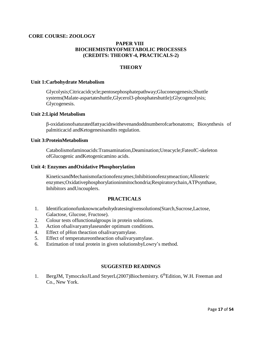## **CORE COURSE: ZOOLOGY**

## **PAPER VIII BIOCHEMISTRYOFMETABOLIC PROCESSES (CREDITS: THEORY-4, PRACTICALS-2)**

## **THEORY**

#### **Unit 1:Carbohydrate Metabolism**

Glycolysis;Citricacidcycle;pentosephosphatepathway;Gluconeogenesis;Shuttle systems(Malate-aspartateshuttle,Glycerol3-phosphateshuttle);Glycogenolysis; Glycogenesis.

#### **Unit 2:Lipid Metabolism**

β-oxidationofsaturatedfattyacidswithevenandoddnumberofcarbonatoms; Biosynthesis of palmiticacid andKetogenesisandits regulation.

#### **Unit 3:ProteinMetabolism**

Catabolismofaminoacids:Transamination,Deamination;Ureacycle;FateofC-skeleton ofGlucogenic andKetogenicamino acids.

#### **Unit 4: Enzymes andOxidative Phosphorylation**

KineticsandMechanismofactionofenzymes;Inhibitionofenzymeaction;Allosteric enzymes;Oxidativephosphorylationinmitochondria;Respiratorychain,ATPsynthase, Inhibitors andUncouplers.

#### **PRACTICALS**

- 1. Identificationofunknowncarbohydratesingivensolutions(Starch,Sucrose,Lactose, Galactose, Glucose, Fructose).
- 2. Colour tests offunctionalgroups in protein solutions.
- 3. Action ofsalivaryamylaseunder optimum conditions.
- 4. Effect of pHon theaction ofsalivaryamylase.
- 5. Effect of temperatureontheaction ofsalivaryamylase.
- 6. Estimation of total protein in given solutionsbyLowry's method.

## **SUGGESTED READINGS**

1. BergJM, TymoczkoJLand StryerL(2007)Biochemistry. 6<sup>th</sup>Edition, W.H. Freeman and Co., New York.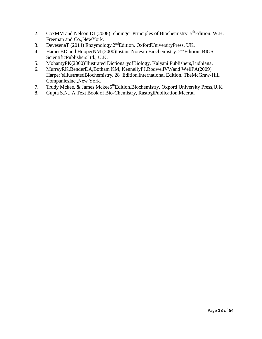- 2. CoxMM and Nelson DL(2008)Lehninger Principles of Biochemistry.  $5<sup>th</sup>$ Edition. W.H. Freeman and Co.,NewYork.
- 3. DevesenaT (2014) Enzymology.2<sup>nd</sup>Edition. OxfordUniversityPress, UK.
- 4. HamesBD and HooperNM (2000)Instant Notesin Biochemistry. 2<sup>nd</sup>Edition. BIOS ScientificPublishersLtd., U.K.
- 5. MohantyPK(2000)Illustrated DictionaryofBiology. Kalyani Publishers,Ludhiana.
- 6. MurrayRK,BenderDA,Botham KM, KennellyPJ,RodwellVWand WellPA(2009) Harper'sIllustratedBiochemistry. 28<sup>th</sup>Edition.International Edition. TheMcGraw-Hill CompaniesInc.,New York.
- 7. Trudy Mckee, & James Mckee5<sup>th</sup>Edition,Biochemistry, Oxpord University Press,U.K.
- 8. Gupta S.N., A Text Book of Bio-Chemistry, RastogiPublication,Meerut.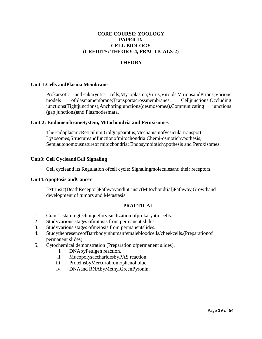## **CORE COURSE: ZOOLOGY PAPER IX CELL BIOLOGY (CREDITS: THEORY-4, PRACTICALS-2)**

## **THEORY**

### **Unit 1:Cells andPlasma Membrane**

Prokaryotic andEukaryotic cells;Mycoplasma;Virus,Viroids,VirionsandPrions;Various models ofplasmamembrane;Transportacrossmembranes; Celljunctions:Occluding junctions(Tightjunctions),Anchoringjunctions(desmosomes),Communicating junctions (gap junctions)and Plasmodesmata.

#### **Unit 2: EndomembraneSystem, Mitochondria and Peroxisomes**

TheEndoplasmicReticulum;Golgiapparatus;Mechanismofvesiculartransport; Lysosomes;Structureandfunctionofmitochondria:Chemi-osmotichypothesis; Semiautonomousnatureof mitochondria; Endosymbiotichypothesis and Peroxisomes.

## **Unit3: Cell CycleandCell Signaling**

Cell cycleand its Regulation ofcell cycle; Signalingmoleculesand their receptors.

#### **Unit4:Apoptosis andCancer**

Extrinsic(DeathReceptor)PathwayandIntrinsic(Mitochondrial)Pathway;Growthand development of tumors and Metastasis.

- 1. Gram's stainingtechniqueforvisualization ofprokaryotic cells.
- 2. Studyvarious stages ofmitosis from permanent slides.
- 3. Studyvarious stages ofmeiosis from permanentslides.
- 4. StudythepresenceofBarrbodyinhumanfemalebloodcells/cheekcells.(Preparationof permanent slides).
- 5. Cytochemical demonstration (Preparation ofpermanent slides).
	- i. DNAbyFeulgen reaction.
	- ii. MucopolysaccharidesbyPAS reaction.
	- iii. ProteinsbyMercurobromophenol blue.
	- iv. DNAand RNAbyMethylGreenPyronin.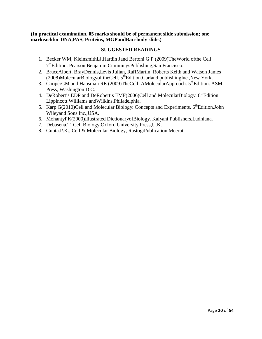**(In practical examination, 05 marks should be of permanent slide submission; one markeachfor DNA,PAS, Proteins, MGPandBarrbody slide.)**

- 1. Becker WM, KleinsmithLJ,Hardin Jand Bertoni G P (2009)TheWorld ofthe Cell. 7<sup>th</sup>Edition. Pearson Benjamin CummingsPublishing, San Francisco.
- 2. BruceAlbert, BrayDennis,Levis Julian, RaffMartin, Roberts Keith and Watson James  $(2008)$ MolecularBiologyof theCell.  $5<sup>th</sup>$ Edition.Garland publishingInc.,New York.
- 3. CooperGM and Hausman RE (2009)TheCell: AMolecularApproach. 5<sup>th</sup>Edition. ASM Press, Washington D.C.
- 4. DeRobertis EDP and DeRobertis EMF(2006)Cell and MolecularBiology.  $8^{th}$ Edition. Lippincott Williams andWilkins,Philadelphia.
- 5. Karp G(2010)Cell and Molecular Biology: Concepts and Experiments. 6<sup>th</sup>Edition.John Wileyand Sons.Inc.,USA.
- 6. MohantyPK(2000)Illustrated DictionaryofBiology. Kalyani Publishers,Ludhiana.
- 7. Debasena.T. Cell Biology,Oxford University Press,U.K.
- 8. Gupta.P.K., Cell & Molecular Biology, RastogiPublication,Meerut.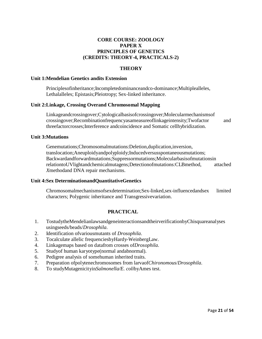## **CORE COURSE: ZOOLOGY PAPER X PRINCIPLES OF GENETICS (CREDITS: THEORY-4, PRACTICALS-2)**

## **THEORY**

#### **Unit 1:Mendelian Genetics andits Extension**

Principlesofinheritance;Incompletedominanceandco-dominance;Multiplealleles, Lethalalleles; Epistasis;Pleiotropy; Sex-linked inheritance.

#### **Unit 2:Linkage, Crossing Overand Chromosomal Mapping**

Linkageandcrossingover;Cytologicalbasisofcrossingover;Molecularmechanismsof crossingover;Recombinationfrequencyasameasureoflinkageintensity;Twofactor and threefactorcrosses;Interference andcoincidence and Somatic cellhybridization.

#### **Unit 3:Mutations**

Genemutations;Chromosomalmutations:Deletion,duplication,inversion, translocation;Aneuploidyandpolyploidy;Inducedversusspontaneousmutations; Backwardandforwardmutations;Suppressormutations;Molecularbasisofmutationsin relationtoUVlightandchemicalmutagens;Detectionofmutations:CLBmethod, attached *X*methodand DNA repair mechanisms.

#### **Unit 4:Sex DeterminationandQuantitativeGenetics**

Chromosomalmechanismsofsexdetermination;Sex-linked,sex-influencedandsex limited characters; Polygenic inheritance and Transgressivevariation.

- 1. TostudytheMendelianlawsandgeneinteractionsandtheirverificationbyChisquareanalyses usingseeds/beads/*Drosophila*.
- 2. Identification ofvariousmutants of *Drosophila*.
- 3. Tocalculate allelic frequenciesbyHardy-WeinbergLaw.
- 4. Linkagemaps based on datafrom crosses of*Drosophila*.
- 5. Studyof human karyotype(normal andabnormal).
- 6. Pedigree analysis of somehuman inherited traits.
- 7. Preparation ofpolytenechromosomes from larvaof*Chironomous*/*Drosophila*.
- 8. To studyMutagenicityin*Salmonella/E. coli*byAmes test.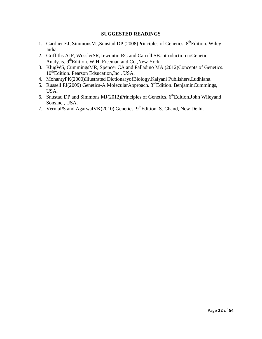- 1. Gardner EJ, SimmonsMJ, Snustad DP (2008) Principles of Genetics. 8<sup>th</sup>Edition. Wiley India.
- 2. Griffiths AJF, WesslerSR,Lewontin RC and Carroll SB.Introduction toGenetic Analysis. 9<sup>th</sup>Edition. W.H. Freeman and Co., New York.
- 3. KlugWS, CummingsMR, Spencer CA and Palladino MA (2012)Concepts of Genetics. 10<sup>th</sup>Edition. Pearson Edsucation, Inc., USA.
- 4. MohantyPK(2000)Illustrated DictionaryofBiology.Kalyani Publishers,Ludhiana.
- 5. Russell PJ(2009) Genetics-A MolecularApproach. 3<sup>rd</sup>Edition. BenjaminCummings, USA.
- 6. Snustad DP and Simmons MJ $(2012)$ Principles of Genetics. 6<sup>th</sup>Edition.John Wileyand SonsInc., USA.
- 7. [VermaP](https://www.schandpublishing.com/author-details/-p-s-verma/131)S and [AgarwalV](https://www.schandpublishing.com/author-details/-v-k-agarwal/195)K $(2010)$  Genetics. 9<sup>th</sup>Edition. S. Chand, New Delhi.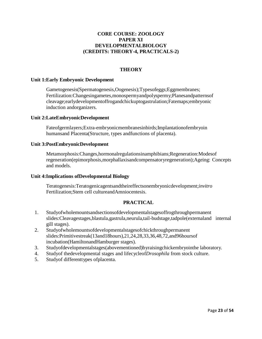## **CORE COURSE: ZOOLOGY PAPER XI DEVELOPMENTALBIOLOGY (CREDITS: THEORY-4, PRACTICALS-2)**

## **THEORY**

#### **Unit 1:Early Embryonic Development**

Gametogenesis(Spermatogenesis,Oogenesis);Typesofeggs;Eggmembranes; Fertilization:Changesingametes,monospermyandpolyspermy;Planesandpatternsof cleavage;earlydevelopmentoffrogandchickuptogastrulation;Fatemaps;embryonic induction andorganizers.

#### **Unit 2:LateEmbryonicDevelopment**

Fateofgermlayers;Extra-embryonicmembranesinbirds;Implantationofembryoin humansand Placenta(Structure, types andfunctions of placenta).

#### **Unit 3:PostEmbryonicDevelopment**

Metamorphosis:Changes,hormonalregulationsinamphibians;Regeneration:Modesof regeneration(epimorphosis,morphallaxisandcompensatoryregeneration);Ageing: Concepts and models.

#### **Unit 4:Implications ofDevelopmental Biology**

Teratogenesis:Teratogenicagentsandtheireffectsonembryonicdevelopment;*invitro* Fertilization;Stem cell cultureandAmniocentesis.

- 1. Studyofwholemountsandsectionsofdevelopmentalstagesoffrogthroughpermanent slides:Cleavagestages,blastula,gastrula,neurula,tail-budstage,tadpole(externaland internal gill stages).
- 2. Studyofwholemountsofdevelopmentalstagesofchickthroughpermanent slides:Primitivestreak(13and18hours),21,24,28,33,36,48,72,and96hoursof incubation(HamiltonandHamburger stages).
- 3. Studyofdevelopmentalstages(abovementioned)byraisingchickembryointhe laboratory.
- 4. Studyof thedevelopmental stages and lifecycleof*Drosophila* from stock culture.
- 5. Studyof differenttypes ofplacenta.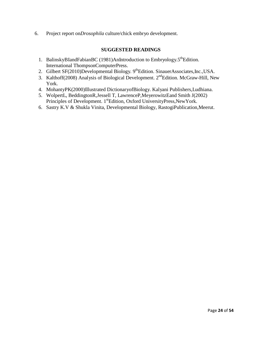6. Project report on*Drosophila* culture/chick embryo development.

- 1. BalinskyBIandFabianBC (1981)AnIntroduction to Embryology.5<sup>th</sup>Edition. International ThompsonComputerPress.
- 2. Gilbert SF(2010)Developmental Biology. 9<sup>th</sup>Edition. SinauerAssociates,Inc.,USA.
- 3. Kalthoff(2008) Analysis of Biological Development. 2nd Edition. McGraw-Hill, New York.
- 4. MohantyPK(2000)Illustrated DictionaryofBiology. Kalyani Publishers,Ludhiana.
- 5. WolpertL, BeddingtonR,Jessell T, LawrenceP,MeyerowitzEand Smith J(2002) Principles of Development. 1<sup>st</sup>Edition, Oxford UniversityPress, New York.
- 6. Sastry K.V & Shukla Vinita, Developmental Biology, RastogiPublication,Meerut.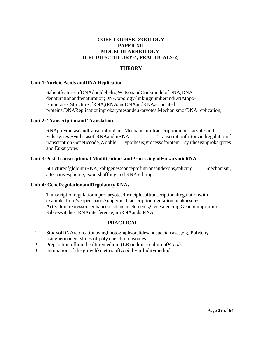## **CORE COURSE: ZOOLOGY PAPER XII MOLECULARBIOLOGY (CREDITS: THEORY-4, PRACTICALS-2)**

## **THEORY**

#### **Unit 1:Nucleic Acids andDNA Replication**

SalientfeaturesofDNAdoublehelix;WatsonandCrickmodelofDNA;DNA denaturationandrenaturation;DNAtopology-linkingnumberandDNAtopoisomerases;StructureofRNA,tRNAandDNAandRNAassociated proteins;DNAReplicationinprokaryotesandeukaryotes;MechanismofDNA replication;

#### **Unit 2: Transcriptionand Translation**

RNApolymeraseandtranscriptionUnit;Mechanismoftranscriptioninprokaryotesand Eukaryotes;SynthesisofrRNAandmRNA; Transcriptionfactorsandregulationof transcription.Geneticcode,Wobble Hypothesis;Processofprotein synthesisinprokaryotes and Eukaryotes

#### **Unit 3:Post Transcriptional Modifications andProcessing ofEukaryoticRNA**

StructureofglobinmRNA;Splitgenes:conceptofintronsandexons,splicing mechanism, alternativesplicing, exon shuffling,and RNA editing,

#### **Unit 4: GeneRegulationandRegulatory RNAs**

Transcriptionregulationinprokaryotes:Principlesoftranscriptionalregulationwith examplesfrom*lac*operonand*trp*operon;Transcriptionregulationineukaryotes: Activators,repressors,enhancers,silencerselements;Genesilencing,Geneticimprinting; Ribo-switches, RNAinterference, miRNAandsiRNA.

- 1. StudyofDNAreplicationusingPhotographsorslidesandspecialcases,e.g.,Polyteny usingpermanent slides of polytene chromosomes.
- 2. Preparation ofliquid culturemedium (LB)andraise cultureof*E. coli*.
- 3. Estimation of the growthkinetics of*E.coli* byturbiditymethod.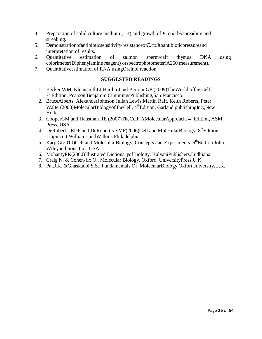- 4. Preparation of solid culture medium (LB) and growth of *E. coli* byspreading and streaking.
- 5. Demonstrationofantibioticsensitivity/resistanceof*E.coli*toantibioticpressureand interpretation of results.
- 6. Quantitative estimation of salmon sperm/calf thymus DNA using colorimeter(Diphenylamine reagent) orspectrophotometer(A260 measurement).
- 7. Quantitativeestimation of RNA usingOrcinol reaction.

- 1. Becker WM, KleinsmithLJ,Hardin Jand Bertoni GP (2009)TheWorld ofthe Cell. 7<sup>th</sup>Edition. Pearson Benjamin CummingsPublishing, San Francisco.
- 2. BruceAlberts, AlexanderJohnson,Julian Lewis,Martin Raff, Keith Roberts, Peter Walter(2008)MolecularBiologyof theCell,  $4^{th}$ Edition. Garland publishingInc.,New York.
- 3. CooperGM and Hausman RE (2007)TheCell: AMolecularApproach. 4<sup>th</sup>Edition, ASM Press, USA.
- 4. DeRobertis EDP and DeRobertis EMF(2006)Cell and MolecularBiology. 8<sup>th</sup>Edition. Lippincott Williams andWilkins,Philadelphia.
- 5. Karp G(2010)Cell and Molecular Biology: Concepts and Experiments.  $6^{\text{th}}$ Edition. John Wileyand Sons.Inc., USA.
- 6. MohantyPK(2000)Illustrated DictionaryofBiology. KalyaniPublishers,Ludhiana.
- 7. Craig N. & Cohen-fix.O., Molecular Biology, Oxford UniversityPress,U.K.
- 8. Pal.J.K. &Ghaskadbi S.S., Fundamentals Of MolecularBiology,OxfortUniversity,U.K.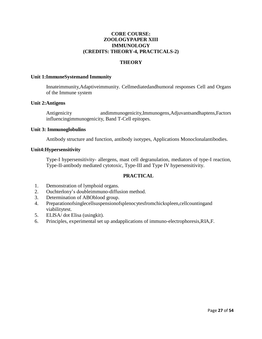## **CORE COURSE: ZOOLOGYPAPER XIII IMMUNOLOGY (CREDITS: THEORY-4, PRACTICALS-2)**

## **THEORY**

#### **Unit 1:ImmuneSystemand Immunity**

Innateimmunity,Adaptiveimmunity. Cellmediatedandhumoral responses Cell and Organs of the Immune system

#### **Unit 2:Antigens**

Antigenicity andimmunogenicity,Immunogens,Adjuvantsandhaptens,Factors influencingimmunogenicity, Band T-Cell epitopes.

#### **Unit 3: Immunoglobulins**

Antibody structure and function, antibody isotypes, Applications Monoclonalantibodies.

#### **Unit4:Hypersensitivity**

Type-I hypersensitivity- allergens, mast cell degranulation, mediators of type-I reaction, Type-II-antibody mediated cytotoxic, Type-III and Type IV hypersensitivity.

- 1. Demonstration of lymphoid organs.
- 2. Ouchterlony's doubleimmuno-diffusion method.
- 3. Determination of ABOblood group.
- 4. Preparationofsinglecellsuspensionofsplenocytesfromchickspleen,cellcountingand viabilitytest.
- 5. ELISA/ dot Elisa (usingkit).
- 6. Principles, experimental set up andapplications of immuno-electrophoresis,RIA,F.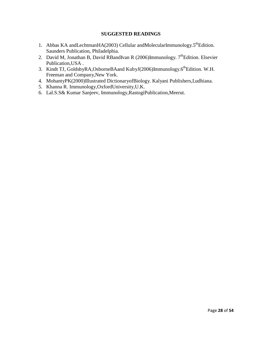- 1. Abbas KA and Lechtman  $HA(2003)$  Cellular and Molecular Immunology.  $5^{th}$ Edition. Saunders Publication, Philadelphia.
- 2. David M, Jonathan B, David RBandIvan R (2006)Immunology.  $7^{th}$ Edition. Elsevier Publication,USA .
- 3. Kindt TJ, GoldsbyRA, OsborneBAand KubyJ(2006)Immunology.6<sup>th</sup>Edition. W.H. Freeman and Company,New York.
- 4. MohantyPK(2000)Illustrated DictionaryofBiology. Kalyani Publishers,Ludhiana.
- 5. Khanna R. Immunology,OxfordUniversity,U.K.
- 6. Lal.S.S& Kumar Sanjeev, Immunology,RastogiPublication,Meerut.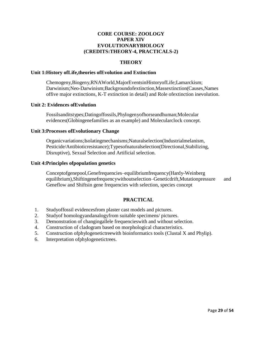## **CORE COURSE: ZOOLOGY PAPER XIV EVOLUTIONARYBIOLOGY (CREDITS:THEORY-4, PRACTICALS-2)**

## **THEORY**

#### **Unit 1:History ofLife,theories ofEvolution and Extinction**

Chemogeny,Biogeny,RNAWorld,MajorEventsinHistoryofLife;Lamarckism; Darwinism;Neo-Darwinism;Backgroundofextinction,Massextinction(Causes,Names offive major extinctions, K-T extinction in detail) and Role ofextinction inevolution.

#### **Unit 2: Evidences ofEvolution**

Fossilsanditstypes;Datingoffossils,Phylogenyofhorseandhuman;Molecular evidences(Globingenefamilies as an example) and Molecularclock concept.

#### **Unit 3:Processes ofEvolutionary Change**

Organicvariations;Isolatingmechanisms;Naturalselection(Industrialmelanism, Pesticide/Antibioticresistance);Typesofnaturalselection(Directional,Stabilizing, Disruptive), Sexual Selection and Artificial selection.

#### **Unit 4:Principles ofpopulation genetics**

Conceptofgenepool,Genefrequencies–equilibriumfrequency(Hardy-Weinberg equilibrium),Shiftingenefrequencywithoutselection–Geneticdrift,Mutationpressure and Geneflow and Shiftsin gene frequencies with selection, species concept

- 1. Studyoffossil evidencesfrom plaster cast models and pictures.
- 2. Studyof homologyandanalogyfrom suitable specimens/ pictures.
- 3. Demonstration of changingallele frequencieswith and without selection.
- 4. Construction of cladogram based on morphological characteristics.
- 5. Construction ofphylogenetictreewith bioinformatics tools (Clustal X and Phylip).
- 6. Interpretation ofphylogenetictrees.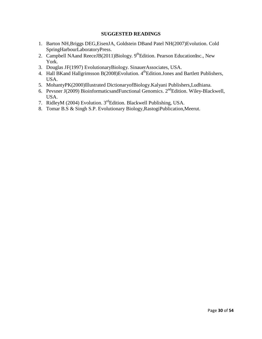- 1. Barton NH,Briggs DEG,EisenJA, Goldstein DBand Patel NH(2007)Evolution. Cold SpringHarbourLaboratoryPress.
- 2. Campbell NAand ReeceJB(2011)Biology. 9<sup>th</sup>Edition. Pearson EducationInc., New York.
- 3. Douglas JF(1997) EvolutionaryBiology. SinauerAssociates, USA.
- 4. Hall BKand Hallgrimsson B(2008)Evolution. 4<sup>th</sup>Edition. Jones and Bartlett Publishers, USA.
- 5. MohantyPK(2000)Illustrated DictionaryofBiology.Kalyani Publishers,Ludhiana.
- 6. Pevsner J(2009) BioinformaticsandFunctional Genomics. 2nd Edition. Wiley-Blackwell, USA.
- 7. RidleyM (2004) Evolution. 3<sup>rd</sup>Edition. Blackwell Publishing, USA.
- 8. Tomar B.S & Singh S.P. Evolutionary Biology,RastogiPublication,Meerut.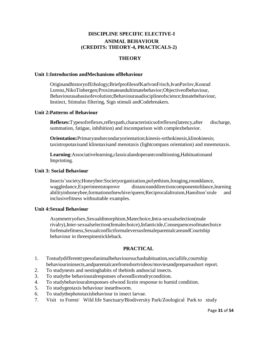## **DISCIPLINE SPECIFIC ELECTIVE-I ANIMAL BEHAVIOUR (CREDITS: THEORY-4, PRACTICALS-2)**

## **THEORY**

#### **Unit 1:Introduction andMechanisms ofBehaviour**

OriginandhistoryofEthology;BriefprofilesofKarlvonFrisch,IvanPavlov,Konrad Lorenz,NikoTinbergen;Proximateandultimatebehavior;Objectiveofbehaviour, Behaviourasabasisofevolution;Behaviourasadisciplineofscience;Innatebehaviour, Instinct, Stimulus filtering, Sign stimuli andCodebreakers.

#### **Unit 2:Patterns of Behaviour**

**Reflexes:**Typesofreflexes,reflexpath,characteristicsofreflexes(latency,after discharge, summation, fatigue, inhibition) and itscomparison with complexbehavior.

**Orientation:**Primaryandsecondaryorientation;kinesis-orthokinesis,klinokinesis; taxistropotaxisand klinotaxisand menotaxis (lightcompass orientation) and mnemotaxis.

**Learning**:Associativelearning,classicalandoperantconditioning,Habituationand Imprinting.

#### **Unit 3: Social Behaviour**

Insects'society;Honeybee:Societyorganization,polyethism,foraging,rounddance, waggledance,Experimentstoprove distanceanddirectioncomponentofdance,learning abilityinhoneybee,formationofnewhive/queen;Reciprocalaltruism,Hamilton'srule and inclusivefitness withsuitable examples.

#### **Unit 4:Sexual Behaviour**

Asymmetryofsex,Sexualdimorphism,Matechoice,Intra-sexualselection(male rivalry),Inter-sexualselection(femalechoice),Infanticide,Consequencesofmatechoice forfemalefitness,SexualconflictformaleversusfemaleparentalcareandCourtship behaviour in threespinestickleback.

- 1. Tostudydifferenttypesofanimalbehavioursuchashabituation,sociallife,courtship behaviourininsects,andparentalcarefromshortvideos/moviesandprepareashort report.
- 2. To studynests and nestinghabits of thebirds andsocial insects.
- 3. To studythe behaviouralresponses ofwoodlicetodrycondition.
- 4. To studybehaviouralresponses ofwood licein response to humid condition.
- 5. To studygeotaxis behaviour inearthworm.
- 6. To studythephototaxisbehaviour in insect larvae.
- 7. Visit to Forest/ Wild life Sanctuary/Biodiversity Park/Zoological Park to study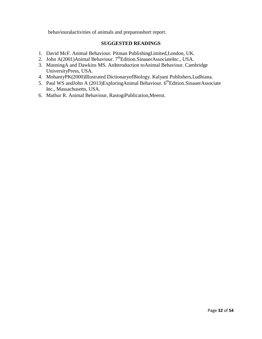behaviouralactivities of animals and prepareashort report.

- 1. David McF. Animal Behaviour. Pitman PublishingLimited,London, UK.
- 2. John A(2001)Animal Behaviour. 7<sup>th</sup>Edition.SinauerAssociateInc., USA.
- 3. ManningA and Dawkins MS. AnIntroduction toAnimal Behaviour. Cambridge UniversityPress, USA.
- 4. MohantyPK(2000)Illustrated DictionaryofBiology. Kalyani Publishers,Ludhiana.
- 5. Paul WS andJohn A (2013) Exploring Animal Behaviour. 6<sup>th</sup> Edition. Sinauer Associate Inc., Massachusetts, USA.
- 6. Mathur R. Animal Behaviour, RastogiPublication,Meerut.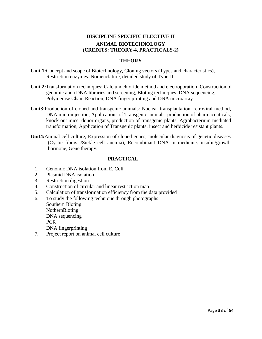## **DISCIPLINE SPECIFIC ELECTIVE II ANIMAL BIOTECHNOLOGY (CREDITS: THEORY-4, PRACTICALS-2)**

## **THEORY**

- **Unit 1:**Concept and scope of Biotechnology, Cloning vectors (Types and characteristics), Restriction enzymes: Nomenclature, detailed study of Type-II.
- **Unit 2:**Transformation techniques: Calcium chloride method and electroporation, Construction of genomic and cDNA libraries and screening, Bloting techniques, DNA sequencing, Polymerase Chain Reaction, DNA finger printing and DNA microarray
- **Unit3:**Production of cloned and transgenic animals: Nuclear transplantation, retroviral method, DNA microinjection, Applications of Transgenic animals: production of pharmaceuticals, knock out mice, donor organs, production of transgenic plants: Agrobacterium mediated transformation, Application of Transgenic plants: insect and herbicide resistant plants.
- **Unit4:**Animal cell culture, Expression of cloned genes, molecular diagnosis of genetic diseases (Cystic fibrosis/Sickle cell anemia), Recombinant DNA in medicine: insulin/growth hormone, Gene therapy.

## **PRACTICAL**

- 1. Genomic DNA isolation from E. Coli.
- 2. Plasmid DNA isolation.
- 3. Restriction digestion
- 4. Construction of circular and linear restriction map
- 5. Calculation of transformation efficiency from the data provided
- 6. To study the following technique through photographs

Southern Bloting NothernBloting DNA sequencing PCR DNA fingerprinting

7. Project report on animal cell culture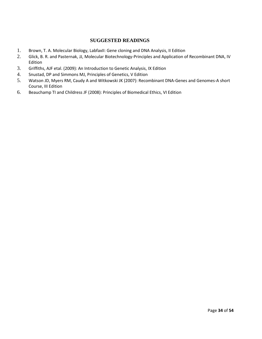- 1. Brown, T. A. Molecular Biology, LabfaxII: Gene cloning and DNA Analysis, II Edition
- 2. Glick, B. R. and Pasternak, JJ, Molecular Biotechnology-Principles and Application of Recombinant DNA, IV Edition
- 3. Griffiths, AJF etal. (2009): An Introduction to Genetic Analysis, IX Edition
- 4. Snustad, DP and Simmons MJ, Principles of Genetics, V Edition
- 5. Watson JD, Myers RM, Caudy A and Witkowski JK (2007): Recombinant DNA-Genes and Genomes-A short Course, III Edition
- 6. Beauchamp TI and Childress JF (2008): Principles of Biomedical Ethics, VI Edition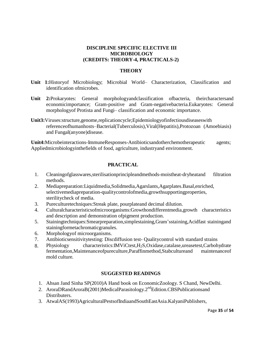## **DISCIPLINE SPECIFIC ELECTIVE III MICROBIOLOGY (CREDITS: THEORY-4, PRACTICALS-2)**

## **THEORY**

- **Unit 1:**Historyof Microbiology; Microbial World– Characterization, Classification and identification ofmicrobes.
- **Unit 2:**Prokaryotes: General morphologyandclassification ofbacteria, theircharactersand economicimportance; Gram-positive and Gram-negativebacteria.Eukaryotes: General morphologyof Protista and Fungi– classification and economic importance.
- **Unit3:**Viruses:structure,genome,replicationcycle;Epidemiologyofinfectiousdiseaseswith referenceofhumanhosts–Bacterial(Tuberculosis),Viral(Hepatitis),Protozoan (Amoebiasis) and Fungal(anyone)disease.

**Unit4:**Microbeinteractions-ImmuneResponses-Antibioticsandotherchemotherapeutic agents; Appliedmicrobiologyinthefields of food, agriculture, industryand environment.

## **PRACTICAL**

- 1. Cleaningofglasswares,sterilisationprincipleandmethods-moistheat-dryheatand filtration methods.
- 2. Mediapreparation:Liquidmedia,Solidmedia,Agarslants,Agarplates.Basal,enriched, selectivemediapreparation-qualitycontrolofmedia,growthsupportingproperties, sterilitycheck of media.
- 3. Pureculturetechniques:Streak plate, pourplateand decimal dilution.
- 4. Culturalcharacteristicsofmicroorganisms:Growthondifferentmedia,growth characteristics and description and demonstration ofpigment production.
- 5. Stainingtechniques:Smearpreparation,simplestaining,Gram'sstaining,Acidfast stainingand stainingformetachromaticgranules.
- 6. Morphologyof microorganisms.
- 7. Antibioticsensitivitytesting: Discdiffusion test- Qualitycontrol with standard strains
- 8. Physiology characteristics:IMViCtest,H2S,Oxidase,catalase,ureasetest,Carbohydrate fermentation,Maintenanceofpureculture,Paraffinmethod,Stabcultureand maintenanceof mold culture.

- 1. Ahsan Jand Sinha SP(2010)A Hand book on EconomicZoology. S Chand, NewDelhi.
- 2. AroraDRandAroraB(2001)MedicalParasitology.2<sup>nd</sup>Edition.CBSPublicationsand Distributers.
- 3. AtwalAS(1993)AgriculturalPestsofIndiaandSouthEastAsia.KalyaniPublishers,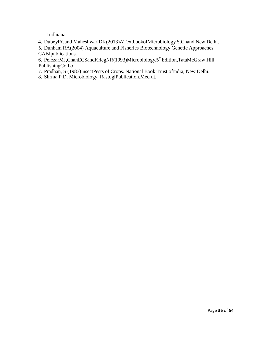Ludhiana.

4. [DubeyR](https://www.schandpublishing.com/author-details/-r-c-dubey/145)Cand [MaheshwariD](https://www.schandpublishing.com/author-details/-d-k-maheshwari/311)K(2013)ATextbookofMicrobiology.S.Chand,New Delhi.

5. Dunham RA(2004) Aquaculture and Fisheries Biotechnology Genetic Approaches. CABIpublications.

6. PelczarMJ,ChanECSandKriegNR(1993)Microbiology.5thEdition,TataMcGraw Hill PublishingCo.Ltd.

7. Pradhan, S (1983)InsectPests of Crops. National Book Trust ofIndia, New Delhi.

8. Shrma P.D. Microbiology, RastogiPublication,Meerut.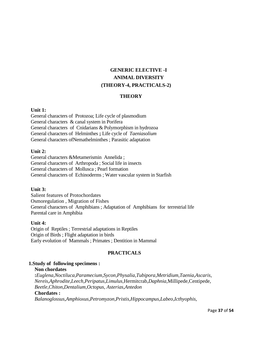# **GENERIC ELECTIVE -I ANIMAL DIVERSITY (THEORY-4, PRACTICALS-2)**

## **THEORY**

#### **Unit 1:**

General characters of Protozoa; Life cycle of plasmodium General characters & canal system in Porifera General characters of Cnidarians & Polymorphism in hydrozoa General characters of Helminthes **;** Life cycle of *Taeniasolium* General characters ofNemathelminthes ; Parasitic adaptation

#### **Unit 2:**

General characters &Metamerismin Annelida ; General characters of Arthropoda ; Social life in insects General characters of Mollusca ; Pearl formation General characters of Echinoderms ; Water vascular system in Starfish

#### **Unit 3:**

Salient features of Protochordates Osmoregulation , Migration of Fishes General characters of Amphibians ; Adaptation of Amphibians for terrestrial life Parental care in Amphibia

#### **Unit 4:**

Origin of Reptiles ; Terrestrial adaptations in Reptiles Origin of Birds ; Flight adaptation in birds Early evolution of Mammals ; Primates ; Dentition in Mammal

## **PRACTICALS**

#### **1.Study of following specimens :**

#### **Non chordates**

**:***Euglena,Noctiluca,Paramecium,Sycon,Physalia,Tubipora,Metridium,Taenia,Ascaris, Nereis,Aphrodite,Leech,Peripatus,Limulus,*Hermitcrab*,Daphnia,*Millipede,Centipede, *Beetle,Chiton,Dentalium,Octopus, Asterias,Antedon* **Chordates :** *Balanoglossus,Amphioxus,Petromyzon,Pristis,Hippocampus,Labeo,Icthyophis,*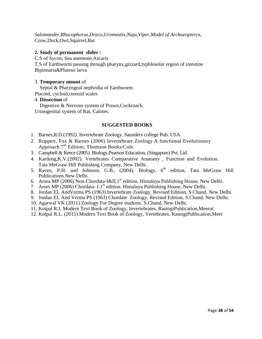*Salamander,Rhacophorus,Draco,Uromastix,Naja,Viper,Model of Archaeopteryx,* Crow,Duck,Owl,Squirrel,Bat

#### **2. Study of permanent slides :**

C.S of Sycon, Sea anemone,Ascaris

T.S of Earthworm passing through pharynx,gizzard,typhlosolar region of intestine Bipinnaria&Pluteus larva

#### 3. **Temporary mount** of

 Septal & Pharyngeal nephridia of Earthworm Placoid, cycloid,ctenoid scales

#### 4. **Dissection** of

 Digestive & Nervous system of Prawn,Cockroach. Urinogenital system of Rat, Calotes.

#### **SUGGESTED BOOKS**

- 1. Barnes,R.D.(1992). Invertebrate Zoology. Saunders college Pub. USA.
- 2. Ruppert, Fox & Barnes (2006) Invertebrate Zoology.A functional Evolutionary Approach  $7<sup>th</sup>$  Edition, Thomson Books/Cole
- 3. Campbell & Reece (2005). Biology,Pearson Education, (Singapore) Pvt. Ltd.
- 4. Kardong,K.V.(2002). Vertebrates Comparative Anatomy , Function and Evolution. Tata MeGraw Hill Publishing Company, New Delhi .
- 5. Raven, P.H. and Johnson, G.B.,  $(2004)$ . Biology,  $6<sup>th</sup>$  edition, Tata MeGraw Hill Publications.New Delhi.
- 6. Arora MP (2006) Non-Chordata-I&II, 1<sup>st</sup> edition. Himalaya Publishing House, New Delhi.
- 7. Arors MP (2006) Chordata- I.1<sup>st</sup> edition. Himalaya Publishing House, New Delhi.
- 8. Jordan EL AndVerma PS (1963) Invertebrate Zoology. Revised Edition, S.Chand, New Delhi.
- 9. Jordan EL And Verma PS (1963) Chordate Zoology. Revised Edition, S.Chand, New Delhi.
- 10. Agarwal VK (2011) Zoology For Degree students. S.Chand, New Delhi.
- 11. Kotpal R.L Modern Text Book of Zoology, Invertebrates. RastogiPublication,Meerut.
- 12. Kotpal R.L. (2015) Modern Text Book of Zoology, Vertebrates, RastogiPublication,Meer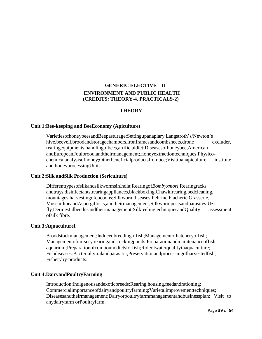## **GENERIC ELECTIVE – II ENVIRONMENT AND PUBLIC HEALTH (CREDITS: THEORY-4, PRACTICALS-2)**

## **THEORY**

#### **Unit 1:Bee-keeping and BeeEconomy (Apiculture)**

VarietiesofhoneybeesandBeepasturage;Settingupanapiary:Langstroth's/Newton's hive, beeveil, broodandstoragechambers, ironframes and combsheets, drone excluder, rearingequipments,handlingofbees,artificialdiet;Diseasesofhoneybee,American andEuropeanFoulbrood,andtheirmanagement;Honeyextractiontechniques;Physicochemicalanalysisofhoney;Otherbeneficialproductsfrombee;Visittoanapiculture institute and honeyprocessingUnits.

#### **Unit 2:Silk andSilk Production (Sericulture)**

DifferenttypesofsilkandsilkwormsinIndia;Rearingof*Bombyxmori,*Rearingracks andtrays,disinfectants,rearingappliances,blackboxing,Chawkirearing,bedcleaning, mountages,harvestingofcocoons;Silkwormdiseases:Pebrine,Flacherie,Grasserie, MuscardineandAspergillosis,andtheirmanagement;Silkwormpestsandparasites:Uzi fly,Dermestidbeetlesandtheirmanagement;SilkreelingtechniquesandQuality assessment ofsilk fibre.

#### **Unit 3:AquacultureI**

Broodstockmanagement;Inducedbreedingoffish;Managementofhatcheryoffish; Managementofnursery,rearingandstockingponds;Preparationandmaintenanceoffish aquarium;Preparationofcompounddietsforfish;Roleofwaterqualityinaquaculture; Fishdiseases:Bacterial,viralandparasitic;Preservationandprocessingofharvestedfish; Fisheryby-products.

#### **Unit 4:DairyandPoultryFarming**

Introduction;Indigenousandexoticbreeds;Rearing,housing,feedandrationing; Commercialimportanceofdairyandpoultryfarming;Varietalimprovementtechniques; Diseasesandtheirmanagement;Dairyorpoultryfarmmanagementandbusinessplan; Visit to anydairyfarm orPoultryfarm.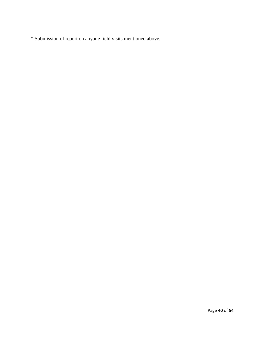\* Submission of report on anyone field visits mentioned above.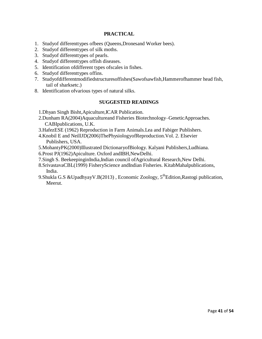## **PRACTICAL**

- 1. Studyof differenttypes ofbees (Queens,Dronesand Worker bees).
- 2. Studyof differenttypes of silk moths.
- 3. Studyof differenttypes of pearls.
- 4. Studyof differenttypes offish diseases.
- 5. Identification ofdifferent types ofscales in fishes.
- 6. Studyof differenttypes offins.
- 7. Studyofdifferentmodifiedstructuresoffishes(Sawofsawfish,Hammerofhammer head fish, tail of sharksetc.)
- 8. Identification ofvarious types of natural silks.

- 1.Dhyan Singh Bisht,Apiculture,ICAR Publication.
- 2.Dunham RA(2004)Aquacultureand Fisheries Biotechnology–GeneticApproaches. CABIpublications, U.K.
- 3.HafezESE (1962) Reproduction in Farm Animals.Lea and Fabiger Publishers.
- 4.Knobil E and NeillJD(2006)ThePhysiologyofReproduction.Vol. 2. Elsevier Publishers, USA.
- 5.MohantyPK(2000)Illustrated DictionaryofBiology. Kalyani Publishers,Ludhiana.
- 6.Prost PJ(1962)Apiculture. Oxford andIBH,NewDelhi.
- 7.Singh S. BeekeepinginIndia,Indian council ofAgricultural Research,New Delhi.
- 8.SrivastavaCBL(1999) FisheryScience andIndian Fisheries. KitabMahalpublications, India.
- 9. Shukla G.S & Upadhyay V.B(2013), Economic Zoology,  $5<sup>th</sup>$ Edition, Rastogi publication, Meerut.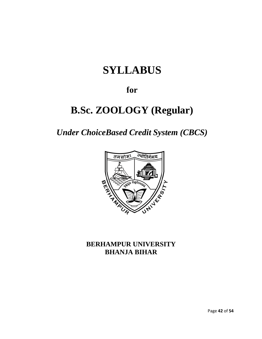# **SYLLABUS**

# **for**

# **B.Sc. ZOOLOGY (Regular)**

*Under ChoiceBased Credit System (CBCS)*



**BERHAMPUR UNIVERSITY BHANJA BIHAR**

Page **42** of **54**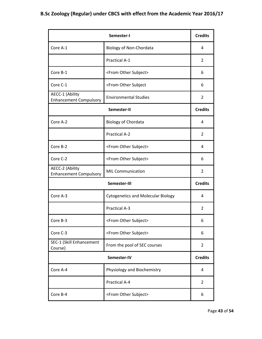# **B.Sc Zoology (Regular) under CBCS with effect from the Academic Year 2016/17**

| Semester-I                                       |                                                    | <b>Credits</b> |
|--------------------------------------------------|----------------------------------------------------|----------------|
| Core A-1                                         | Biology of Non-Chordata                            | 4              |
|                                                  | Practical A-1                                      | $\overline{2}$ |
| Core B-1                                         | <from other="" subject=""></from>                  | 6              |
| Core C-1                                         | <from other="" subject<="" td=""><td>6</td></from> | 6              |
| AECC-1 (Ability<br><b>Enhancement Compulsory</b> | <b>Environmental Studies</b>                       | $\overline{2}$ |
| Semester-II                                      |                                                    | <b>Credits</b> |
| Core A-2                                         | <b>Biology of Chordata</b>                         | 4              |
|                                                  | <b>Practical A-2</b>                               | $\overline{2}$ |
| Core B-2                                         | <from other="" subject=""></from>                  | 4              |
| Core C-2                                         | <from other="" subject=""></from>                  | 6              |
| AECC-2 (Ability<br><b>Enhancement Compulsory</b> | <b>MIL Communication</b>                           | $\overline{2}$ |
|                                                  | Semester-III                                       | <b>Credits</b> |
| Core A-3                                         | <b>Cytogenetics and Molecular Biology</b>          | 4              |
|                                                  | <b>Practical A-3</b>                               | 2              |
| Core B-3                                         | <from other="" subject=""></from>                  | 6              |
| Core C-3                                         | <from other="" subject=""></from>                  | 6              |
| SEC-1 (Skill Enhancement<br>Course)              | From the pool of SEC courses                       | $\overline{2}$ |
| Semester-IV                                      |                                                    | <b>Credits</b> |
| Core A-4                                         | Physiology and Biochemistry                        | 4              |
|                                                  | Practical A-4                                      | $\overline{2}$ |
| Core B-4                                         | <from other="" subject=""></from>                  | 6              |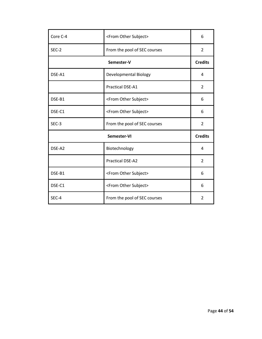| Core C-4    | <from other="" subject=""></from> | 6              |
|-------------|-----------------------------------|----------------|
| SEC-2       | From the pool of SEC courses      | 2              |
| Semester-V  |                                   | <b>Credits</b> |
| DSE-A1      | Developmental Biology             | 4              |
|             | <b>Practical DSE-A1</b>           | 2              |
| DSE-B1      | <from other="" subject=""></from> | 6              |
| DSE-C1      | <from other="" subject=""></from> | 6              |
| SEC-3       | From the pool of SEC courses      | $\overline{2}$ |
| Semester-VI |                                   | <b>Credits</b> |
| DSE-A2      | Biotechnology                     | 4              |
|             | <b>Practical DSE-A2</b>           | 2              |
| DSE-B1      | <from other="" subject=""></from> | 6              |
| DSE-C1      | <from other="" subject=""></from> | 6              |
|             |                                   |                |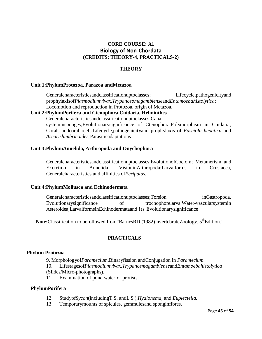## **CORE COURSE: A1 Biology of Non-Chordata (CREDITS: THEORY-4, PRACTICALS-2)**

### **THEORY**

#### **Unit 1:PhylumProtozoa, Parazoa andMetazoa**

Generalcharacteristicsandclassificationuptoclasses; Lifecycle,pathogenicityand prophylaxisof*Plasmodiumvivax,Trypanosomagambiense*and*Entamoebahistolytica;*  Locomotion and reproduction in Protozoa, origin of Metazoa.

## **Unit 2:PhylumPorifera and Ctenophora,Cnidaria, Helminthes**

Generalcharacteristicsandclassificationuptoclasses;Canal systeminsponges;Evolutionarysignificance of Ctenophora,Polymorphism in Cnidaria; Corals andcoral reefs,Lifecycle,pathogenicityand prophylaxis of *Fasciola hepatica* and *Ascarislumbricoides;*Parasiticadaptations

#### **Unit 3:PhylumAnnelida, Arthropoda and Onychophora**

Generalcharacteristicsandclassificationuptoclasses;EvolutionofCoelom; Metamerism and Excretion in Annelida, VisioninArthropoda;Larvalforms in Crustacea, Generalcharacteristics and affinities of*Peripatus.*

#### **Unit 4:PhylumMollusca and Echinodermata**

Generalcharacteristicsandclassificationuptoclasses;Torsion inGastropoda, Evolutionarysignificance of trochophorelarva.Water-vascularsystemin Asteroidea;LarvalformsinEchinodermataand its Evolutionarysignificance

Note:Classification to befollowed from "BarnesRD (1982)InvertebrateZoology. 5<sup>th</sup>Edition."

## **PRACTICALS**

#### **Phylum Protozoa**

9. Morphologyof*Paramecium,*Binaryfission andConjugation in *Paramecium.*

10. Lifestagesof*Plasmodiumvivax,Trypanosmagambiense*and*Entamoebahistolytica* (Slides/Micro-photographs).

11. Examination of pond waterfor protists.

#### **PhylumPorifera**

- 12. Studyof*Sycon*(includingT.S. andL.S.),*Hyalonema,* and *Euplectella.*
- 13. Temporarymounts of spicules, gemmulesand sponginfibres.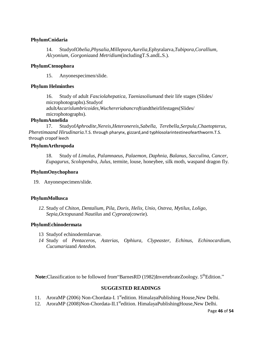## **PhylumCnidaria**

14. Studyof*Obelia,Physalia,Millepora,Aurelia,*Ephyralarva*,Tubipora,Corallium, Alcyonium, Gorgonia*and *Metridium*(includingT.S.andL.S.).

## **PhylumCtenophora**

15. Anyonespecimen/slide.

## **Phylum Helminthes**

16. Study of adult *Fasciolahepatica*, *Taeniasolium*and their life stages (Slides/ microphotographs).Studyof adult*Ascarislumbricoides,Wuchereriabancrofti*andtheirlifestages(Slides/ microphotographs).

## **PhylumAnnelida**

17. Studyof*Aphrodite,Nereis,Heteronereis,Sabella, Terebella,Serpula,Chaetopterus, Pheretimaand Hirudinaria.*T.S. through pharynx, gizzard,and typhlosolarintestineofearthworm.T.S. through cropof leech

## **PhylumArthropoda**

18. Study of *Limulus*, *Palamnaeus, Palaemon, Daphnia*, *Balanus*, *Sacculina*, *Cancer*, *Eupagurus*, *Scolopendra*, *Julus*, termite, louse, honeybee, silk moth, waspand dragon fly.

## **PhylumOnychophora**

19. Anyonespecimen/slide.

## **PhylumMollusca**

*12.* Study of *Chiton, Dentalium, Pila, Doris, Helix, Unio, Ostrea, Mytilus, Loligo, Sepia,Octopus*and *Nautilus* and *Cypraea*(cowrie).

## **PhylumEchinodermata**

- 13 Studyof echinodermlarvae.
- *14* Study of *Pentaceros, Asterias, Ophiura, Clypeaster, Echinus, Echinocardium, Cucumaria*and *Antedon.*

**Note:**Classification to be followed from BarnesRD (1982)InvertebrateZoology. 5<sup>th</sup>Edition."

- 11. AroraMP (2006) Non-Chordata-I. 1<sup>st</sup>edition. HimalayaPublishing House,New Delhi.
- 12. AroraMP (2008)Non-Chordata-II.1<sup>st</sup>edition. HimalayaPublishingHouse,New Delhi.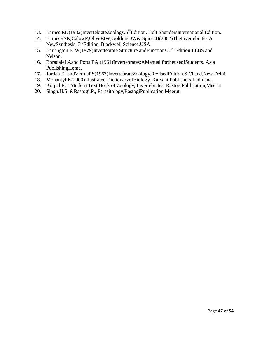- 13. Barnes RD(1982)InvertebrateZoology.6<sup>th</sup>Edition. Holt SaundersInternational Edition.
- 14. BarnesRSK,CalowP,OlivePJW,GoldingDW& SpicerJI(2002)TheInvertebrates:A NewSynthesis. 3<sup>rd</sup>Edition. Blackwell Science, USA.
- 15. Barrington EJW(1979)Invertebrate Structure and Functions. 2<sup>nd</sup> Edition. ELBS and Nelson.
- 16. BoradaleLAand Potts EA (1961)Invertebrates:AManual fortheuseofStudents. Asia PublishingHome.
- 17. [Jordan E](https://www.schandpublishing.com/author-details/-el-jordan/413)Lan[dVermaP](https://www.schandpublishing.com/author-details/-p-s-verma/131)S(1963)InvertebrateZoology.RevisedEdition.S.Chand,New Delhi.
- 18. MohantyPK(2000)Illustrated DictionaryofBiology. Kalyani Publishers,Ludhiana.
- 19. Kotpal R.L Modern Text Book of Zoology, Invertebrates. RastogiPublication,Meerut.
- 20. Singh.H.S. &Rastogi.P., Parasitology,RastogiPublication,Meerut.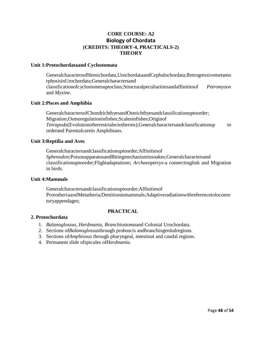## **CORE COURSE: A2 Biology of Chordata (CREDITS: THEORY-4, PRACTICALS-2) THEORY**

#### **Unit 1:Protochordataand Cyclostomata**

GeneralcharactersofHemichordata,UrochordataandCephalochordata;Retrogressivemetamo rphosisinUrochordata;Generalcharactersand classificationofcyclostomesuptoclass;Structuralpeculiaritiesandaffinitiesof *Petromyzon*  and *Myxine.*

#### **Unit 2:Pisces and Amphibia**

GeneralcharactersofChondrichthyesandOsteichthyesandclassificationuptoorder; Migration;Osmoregulationinfishes;Scalesinfishes;Originof *Tetrapoda*(Evolutionofterrestrialectotherms);Generalcharactersandclassificationup to orderand Parentalcarein Amphibians.

#### **Unit 3:Reptilia and Aves**

Generalcharactersandclassificationuptoorder;Affinitiesof *Sphenodon*;PoisonapparatusandBitingmechanisminsnakes;Generalcharactersand classificationuptoorder;Flightadaptations; *Archaeopteryx*-a connectinglink and Migration in birds.

#### **Unit 4:Mammals**

Generalcharactersandclassificationuptoorder;Affinitiesof PrototheriaandMetatheria;Dentitioninmammals;Adaptiveradiationwithreferencetolocomo toryappendages;

#### **PRACTICAL**

#### **2. Protochordata**

- 1. *Balanoglossus, Herdmania, Branchiostoma*and Colonial Urochordata.
- 2. Sections of*Balanoglossus*through proboscis andbranchiogenitalregions.
- 3. Sections of*Amphioxus* through pharyngeal, intestinal and caudal regions.
- 4. Permanent slide ofspicules of*Herdmania*.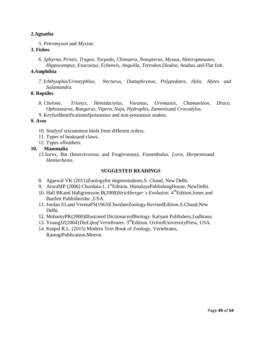## **2.Agnatha**

*5. Petromyzon* and *Myxine.*

## **3. Fishes**

6. *Sphyrna, Pristis, Trygon, Torpedo, Chimaera, Notopterus, Mystus, Heteropneustes, Hippocampus, Exocoetus, Echeneis, Anguilla, Tetrodon,Diodon, Anabas* and Flat fish.

## **4.Amphibia**

*7. Ichthyophis/Ureotyphlus, Necturus, Duttaphrynus, Polypedates, Hyla, Alytes* and *Salamandra.*

## **8. Reptiles**

- *8. Chelone, Trionyx, Hemidactylus, Varanus, Uromastix, Chamaeleon, Draco, Ophiosaurus, Bungarus, Vipera, Naja, Hydrophis, Zamenis*and *Crocodylus.*
- 9. KeyforIdentificationofpoisonous and non-poisonous snakes.

## **9. Aves**

- 10. Studyof sixcommon birds from different orders.
- 11. Types of beaksand claws.
- 12. Types offeathers.

## **10. Mammalia**

*13.Sorex*, Bat (Insectivorous and Frugivorous), *Funambulus, Loris, Herpestes*and *Hemiechenis.*

- 8. Agarwal VK (2011)Zoologyfor degreestudents.S. Chand, New Delhi.
- 9. AroraMP (2006) Chordata-1. 1<sup>st</sup>Edition. HimalayaPublishingHouse, NewDelhi.
- 10. Hall BKand Hallgrimsson B(2008)*Strickberger's Evolution*. 4<sup>th</sup>Edition.Jones and Bartlett PublishersInc.,USA.
- 11. [Jordan E](https://www.schandpublishing.com/author-details/-el-jordan/413)Land [VermaP](https://www.schandpublishing.com/author-details/-p-s-verma/131)S(1963)ChordateZoology.RevisedEdition.S.Chand,New Delhi.
- 12. MohantyPK(2000)Illustrated DictionaryofBiology. Kalyani Publishers,Ludhiana.
- 13. YoungJZ(2004)*TheLifeof Vertebrates*. 3rd Edition. OxfordUniversityPress, USA.
- 14. Kotpal R.L. (2015) Modern Text Book of Zoology, Vertebrates, RastogiPublication,Meerut.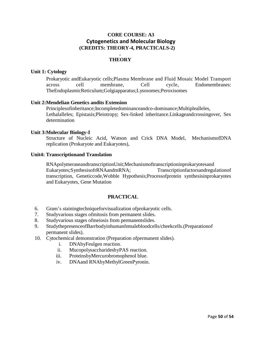## **CORE COURSE: A3 Cytogenetics and Molecular Biology (CREDITS: THEORY-4, PRACTICALS-2)**

### **. THEORY**

### **Unit 1: Cytology**

Prokaryotic andEukaryotic cells;Plasma Membrane and Fluid Mosaic Model Transport across cell membrane, Cell cycle, Endomembranes: TheEndoplasmicReticulum;Golgiapparatus;Lysosomes;Peroxisomes

## **Unit 2:Mendelian Genetics andits Extension**

Principlesofinheritance;Incompletedominanceandco-dominance;Multiplealleles, Lethalalleles; Epistasis;Pleiotropy; Sex-linked inheritance.Linkageandcrossingover, Sex determination

#### **Unit 3:Molecular Biology-I**

Structure of Nucleic Acid, Watson and Crick DNA Model, MechanismofDNA replication (Prokaryote and Eukaryotes),

#### **Unit4: Transcriptionand Translation**

RNApolymeraseandtranscriptionUnit;Mechanismoftranscriptioninprokaryotesand Eukaryotes;SynthesisofrRNAandmRNA; Transcriptionfactorsandregulationof transcription, Geneticcode,Wobble Hypothesis;Processofprotein synthesisinprokaryotes and Eukaryotes, Gene Mutation

- 6. Gram's stainingtechniqueforvisualization ofprokaryotic cells.
- 7. Studyvarious stages ofmitosis from permanent slides.
- 8. Studyvarious stages ofmeiosis from permanentslides.
- 9. StudythepresenceofBarrbodyinhumanfemalebloodcells/cheekcells.(Preparationof permanent slides).
- 10. Cytochemical demonstration (Preparation ofpermanent slides).
	- i. DNAbyFeulgen reaction.
	- ii. MucopolysaccharidesbyPAS reaction.
	- iii. ProteinsbyMercurobromophenol blue.
	- iv. DNAand RNAbyMethylGreenPyronin.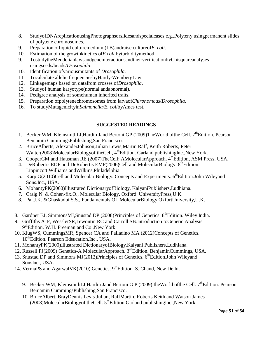- 8. StudyofDNAreplicationusingPhotographsorslidesandspecialcases,e.g.,Polyteny usingpermanent slides of polytene chromosomes.
- 9. Preparation ofliquid culturemedium (LB)andraise cultureof*E. coli*.
- 10. Estimation of the growthkinetics of*E.coli* byturbiditymethod.
- 9. TostudytheMendelianlawsandgeneinteractionsandtheirverificationbyChisquareanalyses usingseeds/beads/*Drosophila*.
- 10. Identification ofvariousmutants of *Drosophila*.
- 11. Tocalculate allelic frequenciesbyHardy-WeinbergLaw.
- 12. Linkagemaps based on datafrom crosses of*Drosophila*.
- 13. Studyof human karyotype(normal andabnormal).
- 14. Pedigree analysis of somehuman inherited traits.
- 15. Preparation ofpolytenechromosomes from larvaof*Chironomous*/*Drosophila*.
- 16. To studyMutagenicityin*Salmonella/E. coli*byAmes test.

- 1. Becker WM, KleinsmithLJ, Hardin Jand Bertoni GP (2009) The World of the Cell. 7<sup>th</sup> Edition. Pearson Benjamin CummingsPublishing,San Francisco.
- 2. BruceAlberts, AlexanderJohnson,Julian Lewis,Martin Raff, Keith Roberts, Peter Walter(2008)MolecularBiologyof theCell, 4<sup>th</sup>Edition. Garland publishingInc.,New York.
- 3. CooperGM and Hausman RE (2007)TheCell: AMolecularApproach**.** 4 thEdition, ASM Press, USA.
- 4. DeRobertis EDP and DeRobertis EMF(2006)Cell and MolecularBiology.  $8<sup>th</sup>$ Edition. Lippincott Williams andWilkins,Philadelphia.
- 5. Karp G(2010)Cell and Molecular Biology: Concepts and Experiments. 6<sup>th</sup>Edition.John Wileyand Sons.Inc., USA.
- 6. MohantyPK(2000)Illustrated DictionaryofBiology. KalyaniPublishers,Ludhiana.
- 7. Craig N. & Cohen-fix.O., Molecular Biology, Oxford UniversityPress,U.K.
- 8. Pal.J.K. &Ghaskadbi S.S., Fundamentals Of MolecularBiology,OxfortUniversity,U.K.
- 8. Gardner EJ, SimmonsMJ, Snustad DP (2008) Principles of Genetics.  $8<sup>th</sup>$  Edition. Wiley India.
- 9. Griffiths AJF, WesslerSR,Lewontin RC and Carroll SB.Introduction toGenetic Analysis. 9<sup>th</sup>Edition. W.H. Freeman and Co., New York.
- 10. KlugWS, CummingsMR, Spencer CA and Palladino MA (2012)Concepts of Genetics. 10<sup>th</sup>Edition. Pearson Edsucation, Inc., USA.
- 11. MohantyPK(2000)Illustrated DictionaryofBiology.Kalyani Publishers,Ludhiana.
- 12. Russell PJ(2009) Genetics-A MolecularApproach. 3<sup>rd</sup>Edition. BenjaminCummings, USA.
- 13. Snustad DP and Simmons MJ(2012)Principles of Genetics. 6<sup>th</sup>Edition.John Wileyand SonsInc., USA.
- 14. [VermaP](https://www.schandpublishing.com/author-details/-p-s-verma/131)S and [AgarwalV](https://www.schandpublishing.com/author-details/-v-k-agarwal/195)K $(2010)$  Genetics. 9<sup>th</sup>Edition. S. Chand, New Delhi.
	- 9. Becker WM, KleinsmithLJ, Hardin Jand Bertoni G P (2009): the World of the Cell. 7<sup>th</sup>Edition. Pearson Benjamin CummingsPublishing,San Francisco.
	- 10. BruceAlbert, BrayDennis,Levis Julian, RaffMartin, Roberts Keith and Watson James  $(2008)$ MolecularBiologyof theCell.  $5<sup>th</sup>$ Edition.Garland publishingInc.,New York.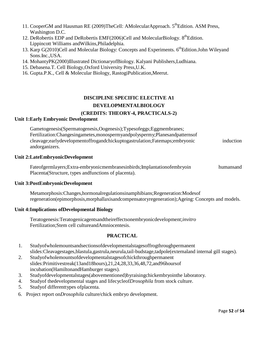- 11. CooperGM and Hausman RE (2009)TheCell: AMolecularApproach. 5<sup>th</sup>Edition. ASM Press, Washington D.C.
- 12. DeRobertis EDP and DeRobertis EMF(2006)Cell and MolecularBiology.  $8<sup>th</sup>$ Edition. Lippincott Williams andWilkins,Philadelphia.
- 13. Karp G(2010)Cell and Molecular Biology: Concepts and Experiments. 6<sup>th</sup>Edition. John Wileyand Sons.Inc.,USA.
- 14. MohantyPK(2000)Illustrated DictionaryofBiology. Kalyani Publishers,Ludhiana.
- 15. Debasena.T. Cell Biology,Oxford University Press,U.K.
- 16. Gupta.P.K., Cell & Molecular Biology, RastogiPublication,Meerut.

# **DISCIPLINE SPECIFIC ELECTIVE A1 DEVELOPMENTALBIOLOGY (CREDITS: THEORY-4, PRACTICALS-2)**

## **Unit 1:Early Embryonic Development**

Gametogenesis(Spermatogenesis,Oogenesis);Typesofeggs;Eggmembranes; Fertilization:Changesingametes,monospermyandpolyspermy;Planesandpatternsof cleavage;earlydevelopmentoffrogandchickuptogastrulation;Fatemaps;embryonic induction andorganizers.

**Unit 2:LateEmbryonicDevelopment**

Fateofgermlayers;Extra-embryonicmembranesinbirds;Implantationofembryoin humansand Placenta(Structure, types andfunctions of placenta).

## **Unit 3:PostEmbryonicDevelopment**

Metamorphosis:Changes,hormonalregulationsinamphibians;Regeneration:Modesof regeneration(epimorphosis,morphallaxisandcompensatoryregeneration);Ageing: Concepts and models.

## **Unit 4:Implications ofDevelopmental Biology**

Teratogenesis:Teratogenicagentsandtheireffectsonembryonicdevelopment;*invitro* Fertilization;Stem cell cultureandAmniocentesis.

- 1. Studyofwholemountsandsectionsofdevelopmentalstagesoffrogthroughpermanent slides:Cleavagestages,blastula,gastrula,neurula,tail-budstage,tadpole(externaland internal gill stages).
- 2. Studyofwholemountsofdevelopmentalstagesofchickthroughpermanent slides:Primitivestreak(13and18hours),21,24,28,33,36,48,72,and96hoursof incubation(HamiltonandHamburger stages).
- 3. Studyofdevelopmentalstages(abovementioned)byraisingchickembryointhe laboratory.
- 4. Studyof thedevelopmental stages and lifecycleof*Drosophila* from stock culture.
- 5. Studyof differenttypes ofplacenta.
- 6. Project report on*Drosophila* culture/chick embryo development.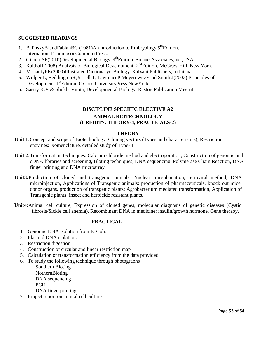## **SUGGESTED READINGS**

- 1. BalinskyBIandFabianBC (1981)AnIntroduction to Embryology.5<sup>th</sup>Edition. International ThompsonComputerPress.
- 2. Gilbert SF(2010)Developmental Biology. 9<sup>th</sup>Edition. SinauerAssociates, Inc., USA.
- 3. Kalthoff(2008) Analysis of Biological Development. 2<sup>nd</sup>Edition. McGraw-Hill, New York.
- 4. MohantyPK(2000)Illustrated DictionaryofBiology. Kalyani Publishers,Ludhiana.
- 5. WolpertL, BeddingtonR,Jessell T, LawrenceP,MeyerowitzEand Smith J(2002) Principles of Development. 1<sup>st</sup>Edition, Oxford UniversityPress, New York.
- 6. Sastry K.V & Shukla Vinita, Developmental Biology, RastogiPublication,Meerut.

## **DISCIPLINE SPECIFIC ELECTIVE A2 ANIMAL BIOTECHNOLOGY (CREDITS: THEORY-4, PRACTICALS-2)**

#### **THEORY**

- **Unit 1:**Concept and scope of Biotechnology, Cloning vectors (Types and characteristics), Restriction enzymes: Nomenclature, detailed study of Type-II.
- **Unit 2:**Transformation techniques: Calcium chloride method and electroporation, Construction of genomic and cDNA libraries and screening, Bloting techniques, DNA sequencing, Polymerase Chain Reaction, DNA finger printing and DNA microarray
- **Unit3:**Production of cloned and transgenic animals: Nuclear transplantation, retroviral method, DNA microinjection, Applications of Transgenic animals: production of pharmaceuticals, knock out mice, donor organs, production of transgenic plants: Agrobacterium mediated transformation, Application of Transgenic plants: insect and herbicide resistant plants.
- **Unit4:**Animal cell culture, Expression of cloned genes, molecular diagnosis of genetic diseases (Cystic fibrosis/Sickle cell anemia), Recombinant DNA in medicine: insulin/growth hormone, Gene therapy.

## **PRACTICAL**

- 1. Genomic DNA isolation from E. Coli.
- 2. Plasmid DNA isolation.
- 3. Restriction digestion
- 4. Construction of circular and linear restriction map
- 5. Calculation of transformation efficiency from the data provided
- 6. To study the following technique through photographs

Southern Bloting NothernBloting DNA sequencing PCR DNA fingerprinting

7. Project report on animal cell culture